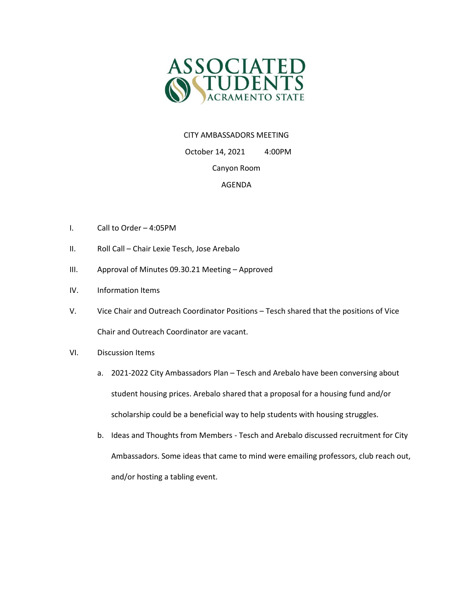

## CITY AMBASSADORS MEETING

 October 14, 2021 4:00PM Canyon Room

## AGENDA

- I. Call to Order 4:05PM
- II. Roll Call Chair Lexie Tesch, Jose Arebalo
- III. Approval of Minutes 09.30.21 Meeting Approved
- IV. Information Items
- V. Vice Chair and Outreach Coordinator Positions Tesch shared that the positions of Vice Chair and Outreach Coordinator are vacant.
- VI. Discussion Items
	- a. 2021-2022 City Ambassadors Plan Tesch and Arebalo have been conversing about student housing prices. Arebalo shared that a proposal for a housing fund and/or scholarship could be a beneficial way to help students with housing struggles.
	- b. Ideas and Thoughts from Members Tesch and Arebalo discussed recruitment for City Ambassadors. Some ideas that came to mind were emailing professors, club reach out, and/or hosting a tabling event.